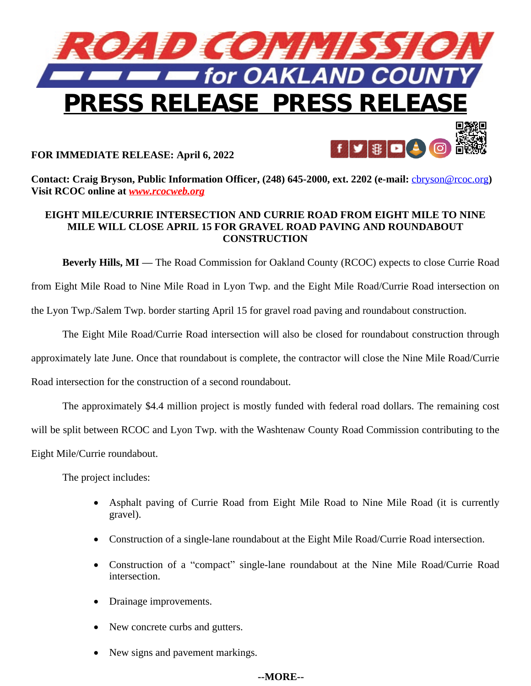

## **FOR IMMEDIATE RELEASE: April 6, 2022**

**Contact: Craig Bryson, Public Information Officer, (248) 645-2000, ext. 2202 (e-mail:** [cbryson@rcoc.org](mailto:cbryson@rcoc.org)**) Visit RCOC online at** *[www.rcocweb.org](http://www.rcocweb.org)*

## **EIGHT MILE/CURRIE INTERSECTION AND CURRIE ROAD FROM EIGHT MILE TO NINE MILE WILL CLOSE APRIL 15 FOR GRAVEL ROAD PAVING AND ROUNDABOUT CONSTRUCTION**

**Beverly Hills, MI —** The Road Commission for Oakland County (RCOC) expects to close Currie Road from Eight Mile Road to Nine Mile Road in Lyon Twp. and the Eight Mile Road/Currie Road intersection on the Lyon Twp./Salem Twp. border starting April 15 for gravel road paving and roundabout construction.

The Eight Mile Road/Currie Road intersection will also be closed for roundabout construction through approximately late June. Once that roundabout is complete, the contractor will close the Nine Mile Road/Currie Road intersection for the construction of a second roundabout.

The approximately \$4.4 million project is mostly funded with federal road dollars. The remaining cost will be split between RCOC and Lyon Twp. with the Washtenaw County Road Commission contributing to the Eight Mile/Currie roundabout.

The project includes:

- Asphalt paving of Currie Road from Eight Mile Road to Nine Mile Road (it is currently gravel).
- Construction of a single-lane roundabout at the Eight Mile Road/Currie Road intersection.
- Construction of a "compact" single-lane roundabout at the Nine Mile Road/Currie Road intersection.
- Drainage improvements.
- New concrete curbs and gutters.
- New signs and pavement markings.

## **--MORE--**